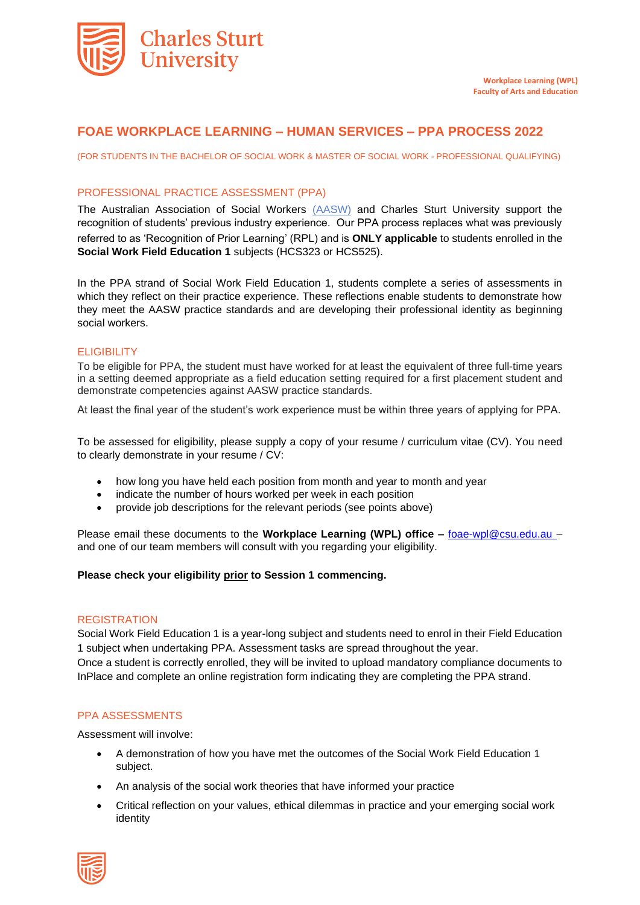

# **FOAE WORKPLACE LEARNING – HUMAN SERVICES – PPA PROCESS 2022**

(FOR STUDENTS IN THE BACHELOR OF SOCIAL WORK & MASTER OF SOCIAL WORK - PROFESSIONAL QUALIFYING)

### PROFESSIONAL PRACTICE ASSESSMENT (PPA)

The Australian Association of Social Workers [\(AASW\)](https://www.aasw.asn.au/about-aasw/about-aasw) and Charles Sturt University support the recognition of students' previous industry experience. Our PPA process replaces what was previously referred to as 'Recognition of Prior Learning' (RPL) and is **ONLY applicable** to students enrolled in the **Social Work Field Education 1** subjects (HCS323 or HCS525).

In the PPA strand of Social Work Field Education 1, students complete a series of assessments in which they reflect on their practice experience. These reflections enable students to demonstrate how they meet the AASW practice standards and are developing their professional identity as beginning social workers.

### ELIGIBILITY

To be eligible for PPA, the student must have worked for at least the equivalent of three full-time years in a setting deemed appropriate as a field education setting required for a first placement student and demonstrate competencies against AASW practice standards.

At least the final year of the student's work experience must be within three years of applying for PPA.

To be assessed for eligibility, please supply a copy of your resume / curriculum vitae (CV). You need to clearly demonstrate in your resume / CV:

- how long you have held each position from month and year to month and year
- indicate the number of hours worked per week in each position
- provide job descriptions for the relevant periods (see points above)

Please email these documents to the **Workplace Learning (WPL) office –** foae-wpl@csu.edu.au – and one of our team members will consult with you regarding your eligibility.

### **Please check your eligibility prior to Session 1 commencing.**

#### **REGISTRATION**

Social Work Field Education 1 is a year-long subject and students need to enrol in their Field Education 1 subject when undertaking PPA. Assessment tasks are spread throughout the year. Once a student is correctly enrolled, they will be invited to upload mandatory compliance documents to InPlace and complete an online registration form indicating they are completing the PPA strand.

#### PPA ASSESSMENTS

Assessment will involve:

- A demonstration of how you have met the outcomes of the Social Work Field Education 1 subject.
- An analysis of the social work theories that have informed your practice
- Critical reflection on your values, ethical dilemmas in practice and your emerging social work identity